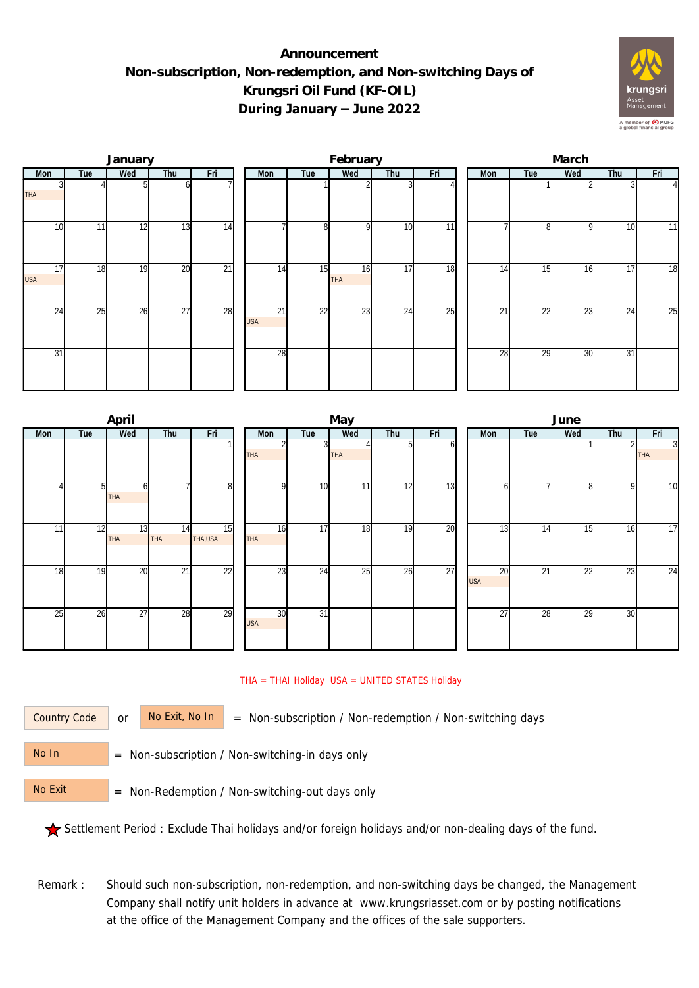## **Announcement Non-subscription, Non-redemption, and Non-switching Days of Krungsri Oil Fund (KF-OIL) During January – June 2022**



|                  |     | January |                 |                 |  |                  | February |                  |     | March |     |                 |              |     |                |  |
|------------------|-----|---------|-----------------|-----------------|--|------------------|----------|------------------|-----|-------|-----|-----------------|--------------|-----|----------------|--|
| Mon              | Tue | Wed     | Thu             | Fri             |  | Mon              | Tue      | Wed              | Thu | Fri   | Mon | Tue             | Wed          | Thu | Fri            |  |
| <b>THA</b>       |     |         |                 |                 |  |                  |          |                  |     |       |     |                 |              |     | $\overline{4}$ |  |
| 10 <sup>1</sup>  | 11  | 12      | 13              | $\overline{14}$ |  |                  | 8        | $\Omega$         | 10  | 11    |     | n               | <sup>Q</sup> | 10  | 11             |  |
| 17<br><b>USA</b> | 18  | 19      | $\overline{20}$ | $\overline{21}$ |  | 14               | 15       | 16<br><b>THA</b> | 17  | 18    | 14  | 15              | 16           | 17  | 18             |  |
| 24               | 25  | 26      | $\overline{27}$ | 28              |  | 21<br><b>USA</b> | 22       | 23               | 24  | 25    | 21  | $\overline{22}$ | 23           | 24  | 25             |  |
| 31               |     |         |                 |                 |  | 28               |          |                  |     |       | 28  | $\overline{29}$ | 30           | 31  |                |  |

|     |                 | April            |                  |                            | May              |                 |            |     |     |  |                  | June |     |     |                              |  |  |  |
|-----|-----------------|------------------|------------------|----------------------------|------------------|-----------------|------------|-----|-----|--|------------------|------|-----|-----|------------------------------|--|--|--|
| Mon | Tue             | Wed              | Thu              | Fri                        | Mon              | Wed<br>Tue      |            | Thu | Fri |  | Mon              | Tue  | Wed | Thu | Fri                          |  |  |  |
|     |                 |                  |                  |                            | THA              | 3               | <b>THA</b> | 5   | n   |  |                  |      |     |     | $\overline{3}$<br><b>THA</b> |  |  |  |
|     | 5 <sub>l</sub>  | 6<br><b>THA</b>  |                  | 8                          | $\Omega$         | 10 <sup>1</sup> | 11         | 12  | 13  |  | h                |      | 8   | 9   | 10                           |  |  |  |
| 11  | $\overline{12}$ | 13<br><b>THA</b> | 14<br><b>THA</b> | $\overline{15}$<br>THA,USA | 16<br>THA        | 17              | 18         | 19  | 20  |  | 13               | 14   | 15  | 16  | 17                           |  |  |  |
| 18  | 19              | 20               | $\overline{21}$  | $\overline{22}$            | $2\overline{3}$  | 24              | 25         | 26  | 27  |  | 20<br><b>USA</b> | 21   | 22  | 23  | 24                           |  |  |  |
| 25  | 26              | 27               | 28               | 29                         | 30<br><b>USA</b> | 31              |            |     |     |  | 27               | 28   | 29  | 30  |                              |  |  |  |

## THA = THAI Holiday USA = UNITED STATES Holiday

Country Code

or  $\overline{\phantom{a}}$  No Exit, No In  $\overline{\phantom{a}}$  = Non-subscription / Non-redemption / Non-switching days

 = Non-subscription / Non-switching-in days only No In

 = Non-Redemption / Non-switching-out days only No Exit

Settlement Period : Exclude Thai holidays and/or foreign holidays and/or non-dealing days of the fund.

Remark : Should such non-subscription, non-redemption, and non-switching days be changed, the Management Company shall notify unit holders in advance at www.krungsriasset.com or by posting notifications at the office of the Management Company and the offices of the sale supporters.